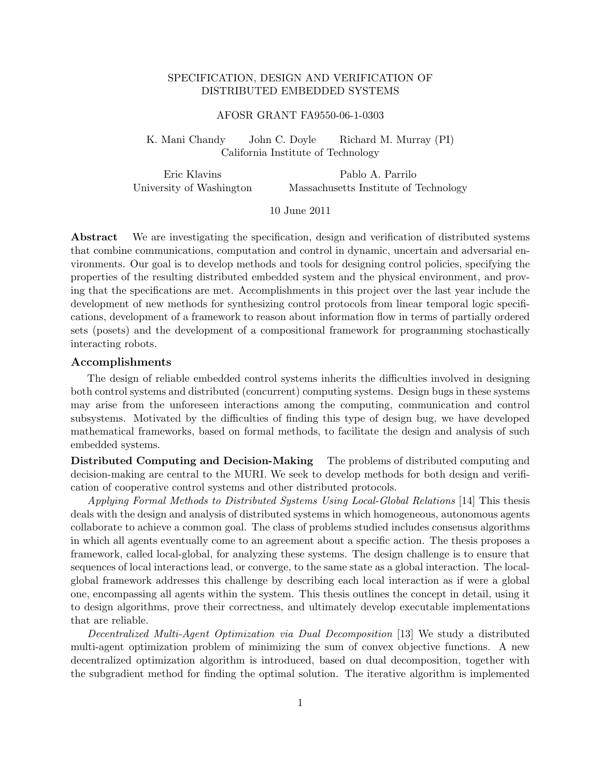# SPECIFICATION, DESIGN AND VERIFICATION OF DISTRIBUTED EMBEDDED SYSTEMS

#### AFOSR GRANT FA9550-06-1-0303

K. Mani Chandy John C. Doyle Richard M. Murray (PI) California Institute of Technology

Eric Klavins University of Washington Pablo A. Parrilo Massachusetts Institute of Technology

### 10 June 2011

Abstract We are investigating the specification, design and verification of distributed systems that combine communications, computation and control in dynamic, uncertain and adversarial environments. Our goal is to develop methods and tools for designing control policies, specifying the properties of the resulting distributed embedded system and the physical environment, and proving that the specifications are met. Accomplishments in this project over the last year include the development of new methods for synthesizing control protocols from linear temporal logic specifications, development of a framework to reason about information flow in terms of partially ordered sets (posets) and the development of a compositional framework for programming stochastically interacting robots.

#### Accomplishments

The design of reliable embedded control systems inherits the difficulties involved in designing both control systems and distributed (concurrent) computing systems. Design bugs in these systems may arise from the unforeseen interactions among the computing, communication and control subsystems. Motivated by the difficulties of finding this type of design bug, we have developed mathematical frameworks, based on formal methods, to facilitate the design and analysis of such embedded systems.

Distributed Computing and Decision-Making The problems of distributed computing and decision-making are central to the MURI. We seek to develop methods for both design and verification of cooperative control systems and other distributed protocols.

Applying Formal Methods to Distributed Systems Using Local-Global Relations [14] This thesis deals with the design and analysis of distributed systems in which homogeneous, autonomous agents collaborate to achieve a common goal. The class of problems studied includes consensus algorithms in which all agents eventually come to an agreement about a specific action. The thesis proposes a framework, called local-global, for analyzing these systems. The design challenge is to ensure that sequences of local interactions lead, or converge, to the same state as a global interaction. The localglobal framework addresses this challenge by describing each local interaction as if were a global one, encompassing all agents within the system. This thesis outlines the concept in detail, using it to design algorithms, prove their correctness, and ultimately develop executable implementations that are reliable.

Decentralized Multi-Agent Optimization via Dual Decomposition [13] We study a distributed multi-agent optimization problem of minimizing the sum of convex objective functions. A new decentralized optimization algorithm is introduced, based on dual decomposition, together with the subgradient method for finding the optimal solution. The iterative algorithm is implemented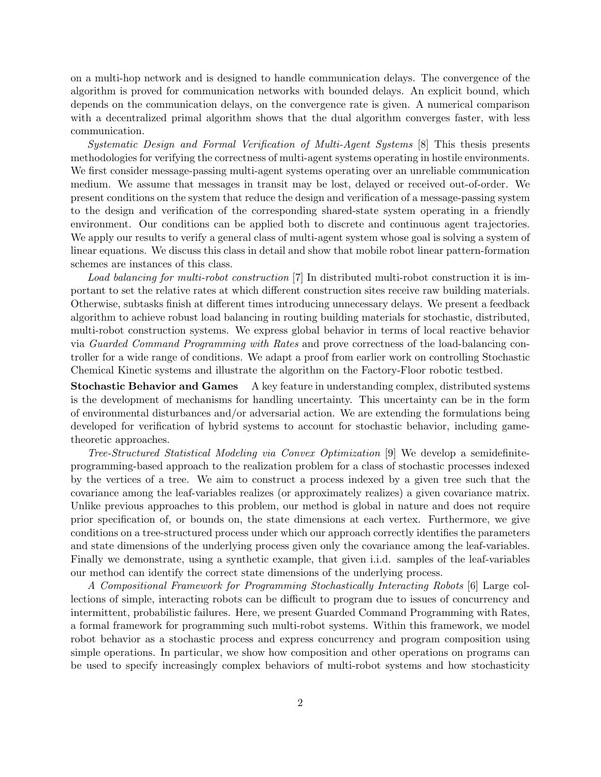on a multi-hop network and is designed to handle communication delays. The convergence of the algorithm is proved for communication networks with bounded delays. An explicit bound, which depends on the communication delays, on the convergence rate is given. A numerical comparison with a decentralized primal algorithm shows that the dual algorithm converges faster, with less communication.

Systematic Design and Formal Verification of Multi-Agent Systems [8] This thesis presents methodologies for verifying the correctness of multi-agent systems operating in hostile environments. We first consider message-passing multi-agent systems operating over an unreliable communication medium. We assume that messages in transit may be lost, delayed or received out-of-order. We present conditions on the system that reduce the design and verification of a message-passing system to the design and verification of the corresponding shared-state system operating in a friendly environment. Our conditions can be applied both to discrete and continuous agent trajectories. We apply our results to verify a general class of multi-agent system whose goal is solving a system of linear equations. We discuss this class in detail and show that mobile robot linear pattern-formation schemes are instances of this class.

Load balancing for multi-robot construction [7] In distributed multi-robot construction it is important to set the relative rates at which different construction sites receive raw building materials. Otherwise, subtasks finish at different times introducing unnecessary delays. We present a feedback algorithm to achieve robust load balancing in routing building materials for stochastic, distributed, multi-robot construction systems. We express global behavior in terms of local reactive behavior via Guarded Command Programming with Rates and prove correctness of the load-balancing controller for a wide range of conditions. We adapt a proof from earlier work on controlling Stochastic Chemical Kinetic systems and illustrate the algorithm on the Factory-Floor robotic testbed.

Stochastic Behavior and Games A key feature in understanding complex, distributed systems is the development of mechanisms for handling uncertainty. This uncertainty can be in the form of environmental disturbances and/or adversarial action. We are extending the formulations being developed for verification of hybrid systems to account for stochastic behavior, including gametheoretic approaches.

Tree-Structured Statistical Modeling via Convex Optimization [9] We develop a semidefiniteprogramming-based approach to the realization problem for a class of stochastic processes indexed by the vertices of a tree. We aim to construct a process indexed by a given tree such that the covariance among the leaf-variables realizes (or approximately realizes) a given covariance matrix. Unlike previous approaches to this problem, our method is global in nature and does not require prior specification of, or bounds on, the state dimensions at each vertex. Furthermore, we give conditions on a tree-structured process under which our approach correctly identifies the parameters and state dimensions of the underlying process given only the covariance among the leaf-variables. Finally we demonstrate, using a synthetic example, that given i.i.d. samples of the leaf-variables our method can identify the correct state dimensions of the underlying process.

A Compositional Framework for Programming Stochastically Interacting Robots [6] Large collections of simple, interacting robots can be difficult to program due to issues of concurrency and intermittent, probabilistic failures. Here, we present Guarded Command Programming with Rates, a formal framework for programming such multi-robot systems. Within this framework, we model robot behavior as a stochastic process and express concurrency and program composition using simple operations. In particular, we show how composition and other operations on programs can be used to specify increasingly complex behaviors of multi-robot systems and how stochasticity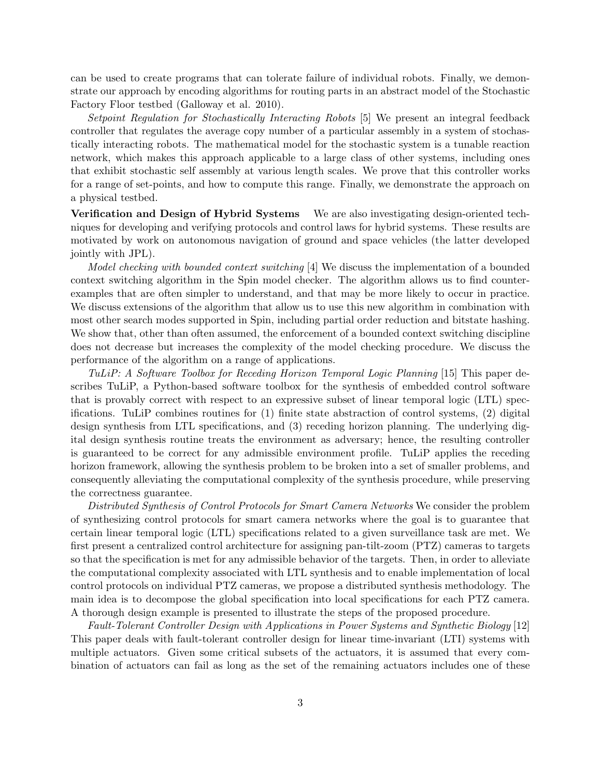can be used to create programs that can tolerate failure of individual robots. Finally, we demonstrate our approach by encoding algorithms for routing parts in an abstract model of the Stochastic Factory Floor testbed (Galloway et al. 2010).

Setpoint Regulation for Stochastically Interacting Robots [5] We present an integral feedback controller that regulates the average copy number of a particular assembly in a system of stochastically interacting robots. The mathematical model for the stochastic system is a tunable reaction network, which makes this approach applicable to a large class of other systems, including ones that exhibit stochastic self assembly at various length scales. We prove that this controller works for a range of set-points, and how to compute this range. Finally, we demonstrate the approach on a physical testbed.

Verification and Design of Hybrid Systems We are also investigating design-oriented techniques for developing and verifying protocols and control laws for hybrid systems. These results are motivated by work on autonomous navigation of ground and space vehicles (the latter developed jointly with JPL).

Model checking with bounded context switching [4] We discuss the implementation of a bounded context switching algorithm in the Spin model checker. The algorithm allows us to find counterexamples that are often simpler to understand, and that may be more likely to occur in practice. We discuss extensions of the algorithm that allow us to use this new algorithm in combination with most other search modes supported in Spin, including partial order reduction and bitstate hashing. We show that, other than often assumed, the enforcement of a bounded context switching discipline does not decrease but increases the complexity of the model checking procedure. We discuss the performance of the algorithm on a range of applications.

TuLiP: A Software Toolbox for Receding Horizon Temporal Logic Planning [15] This paper describes TuLiP, a Python-based software toolbox for the synthesis of embedded control software that is provably correct with respect to an expressive subset of linear temporal logic (LTL) specifications. TuLiP combines routines for (1) finite state abstraction of control systems, (2) digital design synthesis from LTL specifications, and (3) receding horizon planning. The underlying digital design synthesis routine treats the environment as adversary; hence, the resulting controller is guaranteed to be correct for any admissible environment profile. TuLiP applies the receding horizon framework, allowing the synthesis problem to be broken into a set of smaller problems, and consequently alleviating the computational complexity of the synthesis procedure, while preserving the correctness guarantee.

Distributed Synthesis of Control Protocols for Smart Camera Networks We consider the problem of synthesizing control protocols for smart camera networks where the goal is to guarantee that certain linear temporal logic (LTL) specifications related to a given surveillance task are met. We first present a centralized control architecture for assigning pan-tilt-zoom (PTZ) cameras to targets so that the specification is met for any admissible behavior of the targets. Then, in order to alleviate the computational complexity associated with LTL synthesis and to enable implementation of local control protocols on individual PTZ cameras, we propose a distributed synthesis methodology. The main idea is to decompose the global specification into local specifications for each PTZ camera. A thorough design example is presented to illustrate the steps of the proposed procedure.

Fault-Tolerant Controller Design with Applications in Power Systems and Synthetic Biology [12] This paper deals with fault-tolerant controller design for linear time-invariant (LTI) systems with multiple actuators. Given some critical subsets of the actuators, it is assumed that every combination of actuators can fail as long as the set of the remaining actuators includes one of these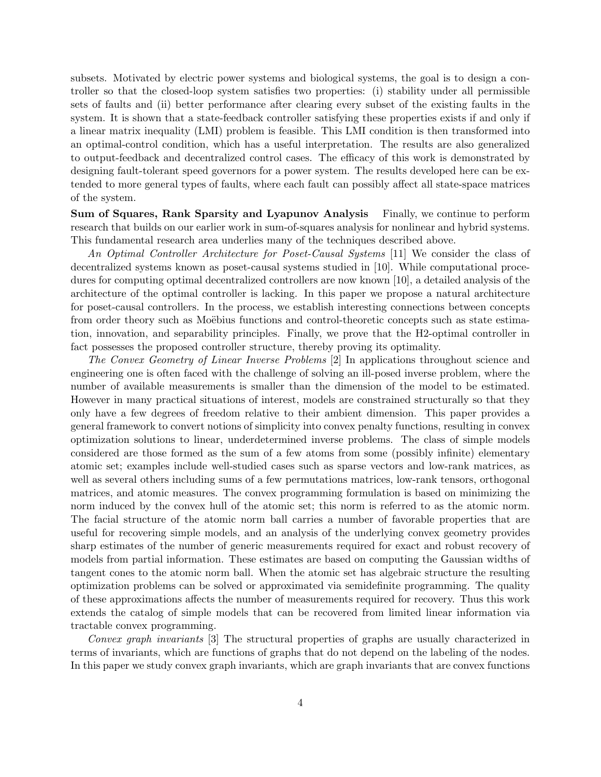subsets. Motivated by electric power systems and biological systems, the goal is to design a controller so that the closed-loop system satisfies two properties: (i) stability under all permissible sets of faults and (ii) better performance after clearing every subset of the existing faults in the system. It is shown that a state-feedback controller satisfying these properties exists if and only if a linear matrix inequality (LMI) problem is feasible. This LMI condition is then transformed into an optimal-control condition, which has a useful interpretation. The results are also generalized to output-feedback and decentralized control cases. The efficacy of this work is demonstrated by designing fault-tolerant speed governors for a power system. The results developed here can be extended to more general types of faults, where each fault can possibly affect all state-space matrices of the system.

Sum of Squares, Rank Sparsity and Lyapunov Analysis Finally, we continue to perform research that builds on our earlier work in sum-of-squares analysis for nonlinear and hybrid systems. This fundamental research area underlies many of the techniques described above.

An Optimal Controller Architecture for Poset-Causal Systems [11] We consider the class of decentralized systems known as poset-causal systems studied in [10]. While computational procedures for computing optimal decentralized controllers are now known [10], a detailed analysis of the architecture of the optimal controller is lacking. In this paper we propose a natural architecture for poset-causal controllers. In the process, we establish interesting connections between concepts from order theory such as Moëbius functions and control-theoretic concepts such as state estimation, innovation, and separability principles. Finally, we prove that the H2-optimal controller in fact possesses the proposed controller structure, thereby proving its optimality.

The Convex Geometry of Linear Inverse Problems [2] In applications throughout science and engineering one is often faced with the challenge of solving an ill-posed inverse problem, where the number of available measurements is smaller than the dimension of the model to be estimated. However in many practical situations of interest, models are constrained structurally so that they only have a few degrees of freedom relative to their ambient dimension. This paper provides a general framework to convert notions of simplicity into convex penalty functions, resulting in convex optimization solutions to linear, underdetermined inverse problems. The class of simple models considered are those formed as the sum of a few atoms from some (possibly infinite) elementary atomic set; examples include well-studied cases such as sparse vectors and low-rank matrices, as well as several others including sums of a few permutations matrices, low-rank tensors, orthogonal matrices, and atomic measures. The convex programming formulation is based on minimizing the norm induced by the convex hull of the atomic set; this norm is referred to as the atomic norm. The facial structure of the atomic norm ball carries a number of favorable properties that are useful for recovering simple models, and an analysis of the underlying convex geometry provides sharp estimates of the number of generic measurements required for exact and robust recovery of models from partial information. These estimates are based on computing the Gaussian widths of tangent cones to the atomic norm ball. When the atomic set has algebraic structure the resulting optimization problems can be solved or approximated via semidefinite programming. The quality of these approximations affects the number of measurements required for recovery. Thus this work extends the catalog of simple models that can be recovered from limited linear information via tractable convex programming.

Convex graph invariants [3] The structural properties of graphs are usually characterized in terms of invariants, which are functions of graphs that do not depend on the labeling of the nodes. In this paper we study convex graph invariants, which are graph invariants that are convex functions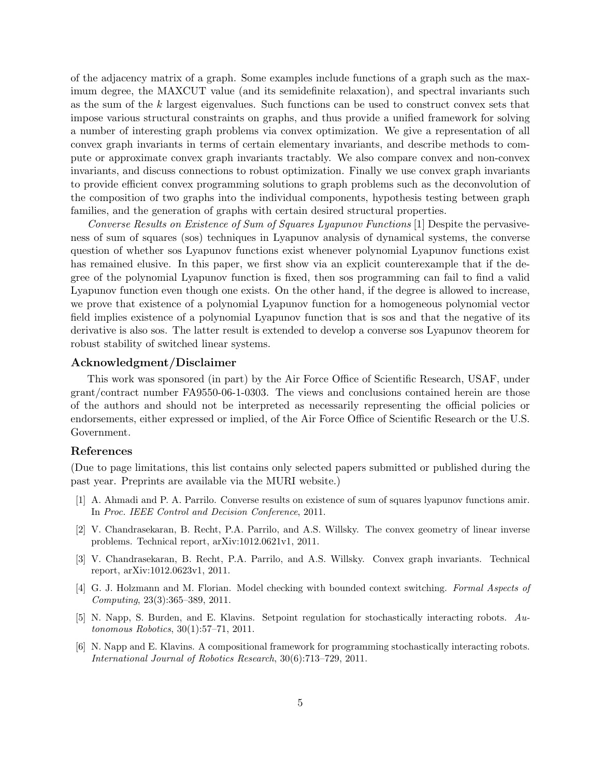of the adjacency matrix of a graph. Some examples include functions of a graph such as the maximum degree, the MAXCUT value (and its semidefinite relaxation), and spectral invariants such as the sum of the k largest eigenvalues. Such functions can be used to construct convex sets that impose various structural constraints on graphs, and thus provide a unified framework for solving a number of interesting graph problems via convex optimization. We give a representation of all convex graph invariants in terms of certain elementary invariants, and describe methods to compute or approximate convex graph invariants tractably. We also compare convex and non-convex invariants, and discuss connections to robust optimization. Finally we use convex graph invariants to provide efficient convex programming solutions to graph problems such as the deconvolution of the composition of two graphs into the individual components, hypothesis testing between graph families, and the generation of graphs with certain desired structural properties.

Converse Results on Existence of Sum of Squares Lyapunov Functions [1] Despite the pervasiveness of sum of squares (sos) techniques in Lyapunov analysis of dynamical systems, the converse question of whether sos Lyapunov functions exist whenever polynomial Lyapunov functions exist has remained elusive. In this paper, we first show via an explicit counterexample that if the degree of the polynomial Lyapunov function is fixed, then sos programming can fail to find a valid Lyapunov function even though one exists. On the other hand, if the degree is allowed to increase, we prove that existence of a polynomial Lyapunov function for a homogeneous polynomial vector field implies existence of a polynomial Lyapunov function that is sos and that the negative of its derivative is also sos. The latter result is extended to develop a converse sos Lyapunov theorem for robust stability of switched linear systems.

### Acknowledgment/Disclaimer

This work was sponsored (in part) by the Air Force Office of Scientific Research, USAF, under grant/contract number FA9550-06-1-0303. The views and conclusions contained herein are those of the authors and should not be interpreted as necessarily representing the official policies or endorsements, either expressed or implied, of the Air Force Office of Scientific Research or the U.S. Government.

#### References

(Due to page limitations, this list contains only selected papers submitted or published during the past year. Preprints are available via the MURI website.)

- [1] A. Ahmadi and P. A. Parrilo. Converse results on existence of sum of squares lyapunov functions amir. In Proc. IEEE Control and Decision Conference, 2011.
- [2] V. Chandrasekaran, B. Recht, P.A. Parrilo, and A.S. Willsky. The convex geometry of linear inverse problems. Technical report, arXiv:1012.0621v1, 2011.
- [3] V. Chandrasekaran, B. Recht, P.A. Parrilo, and A.S. Willsky. Convex graph invariants. Technical report, arXiv:1012.0623v1, 2011.
- [4] G. J. Holzmann and M. Florian. Model checking with bounded context switching. Formal Aspects of Computing, 23(3):365–389, 2011.
- [5] N. Napp, S. Burden, and E. Klavins. Setpoint regulation for stochastically interacting robots. Autonomous Robotics, 30(1):57–71, 2011.
- [6] N. Napp and E. Klavins. A compositional framework for programming stochastically interacting robots. International Journal of Robotics Research, 30(6):713–729, 2011.